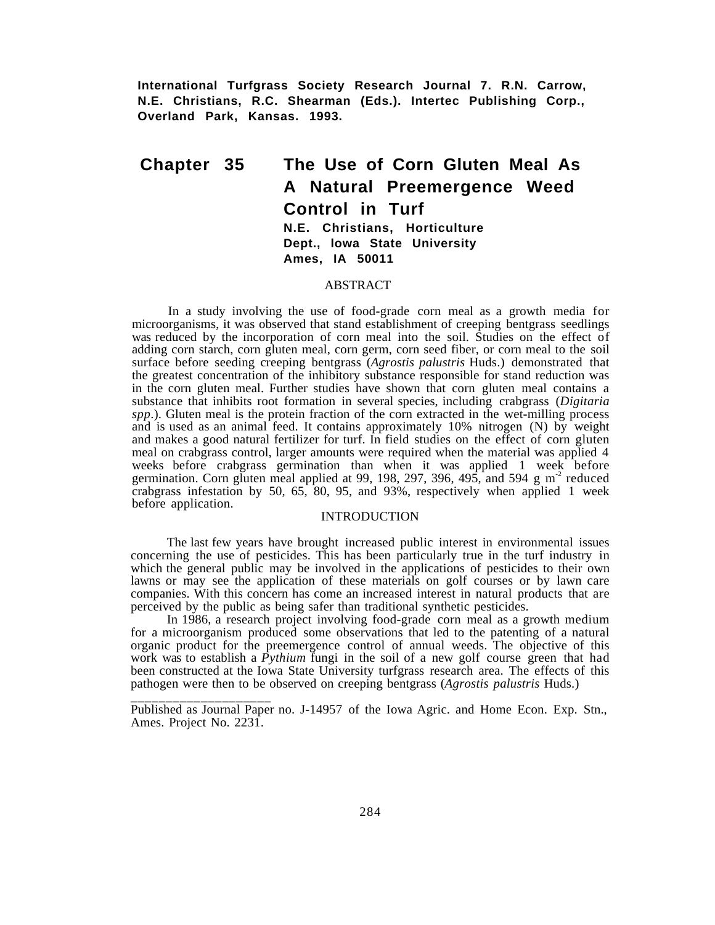**International Turfgrass Society Research Journal 7. R.N. Carrow, N.E. Christians, R.C. Shearman (Eds.). Intertec Publishing Corp., Overland Park, Kansas. 1993.**

# **Chapter 35 The Use of Corn Gluten Meal As A Natural Preemergence Weed Control in Turf N.E. Christians, Horticulture Dept., lowa State University Ames, IA 50011**

## ABSTRACT

In a study involving the use of food-grade corn meal as a growth media for microorganisms, it was observed that stand establishment of creeping bentgrass seedlings was reduced by the incorporation of corn meal into the soil. Studies on the effect of adding corn starch, corn gluten meal, corn germ, corn seed fiber, or corn meal to the soil surface before seeding creeping bentgrass (*Agrostis palustris* Huds.) demonstrated that the greatest concentration of the inhibitory substance responsible for stand reduction was in the corn gluten meal. Further studies have shown that corn gluten meal contains a substance that inhibits root formation in several species, including crabgrass (*Digitaria spp*.). Gluten meal is the protein fraction of the corn extracted in the wet-milling process and is used as an animal feed. It contains approximately 10% nitrogen (N) by weight and makes a good natural fertilizer for turf. In field studies on the effect of corn gluten meal on crabgrass control, larger amounts were required when the material was applied 4 weeks before crabgrass germination than when it was applied 1 week before germination. Corn gluten meal applied at 99, 198, 297, 396, 495, and 594 g  $m<sup>2</sup>$  reduced crabgrass infestation by 50, 65, 80, 95, and 93%, respectively when applied 1 week before application.

## INTRODUCTION

The last few years have brought increased public interest in environmental issues concerning the use of pesticides. This has been particularly true in the turf industry in which the general public may be involved in the applications of pesticides to their own lawns or may see the application of these materials on golf courses or by lawn care companies. With this concern has come an increased interest in natural products that are perceived by the public as being safer than traditional synthetic pesticides.

In 1986, a research project involving food-grade corn meal as a growth medium for a microorganism produced some observations that led to the patenting of a natural organic product for the preemergence control of annual weeds. The objective of this work was to establish a *Pythium* fungi in the soil of a new golf course green that had been constructed at the Iowa State University turfgrass research area. The effects of this pathogen were then to be observed on creeping bentgrass (*Agrostis palustris* Huds.)

Published as Journal Paper no. J-14957 of the Iowa Agric. and Home Econ. Exp. Stn., Ames. Project No. 2231.

\_<br>\_\_\_\_\_\_\_\_\_\_\_\_\_\_\_\_\_\_\_\_\_\_\_\_\_\_\_\_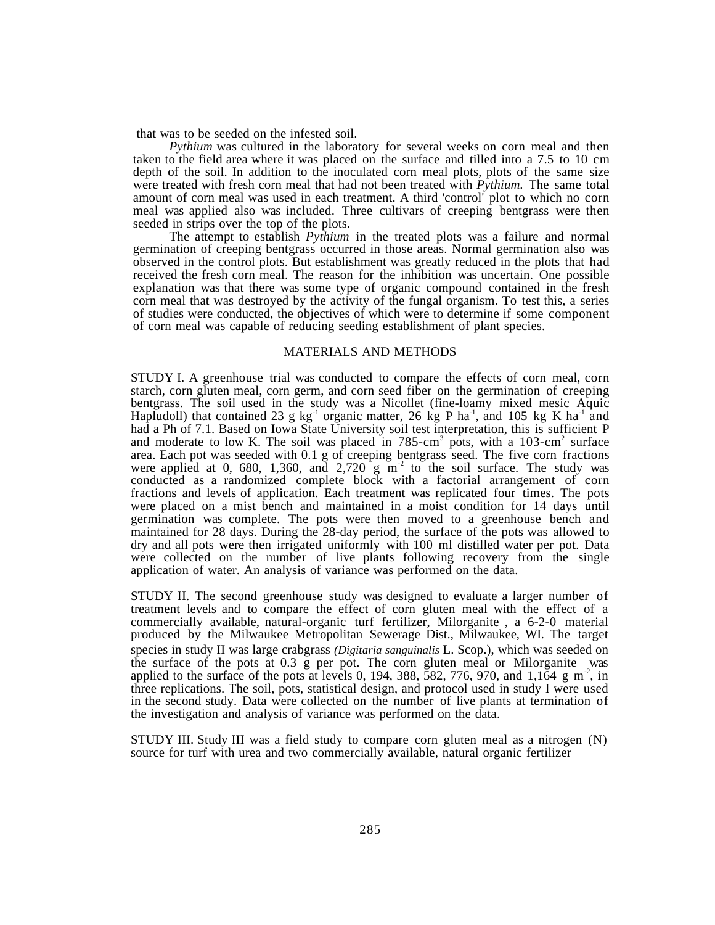that was to be seeded on the infested soil.

*Pythium* was cultured in the laboratory for several weeks on corn meal and then taken to the field area where it was placed on the surface and tilled into a 7.5 to 10 cm depth of the soil. In addition to the inoculated corn meal plots, plots of the same size were treated with fresh corn meal that had not been treated with *Pythium.* The same total amount of corn meal was used in each treatment. A third 'control' plot to which no corn meal was applied also was included. Three cultivars of creeping bentgrass were then seeded in strips over the top of the plots.

The attempt to establish *Pythium* in the treated plots was a failure and normal germination of creeping bentgrass occurred in those areas. Normal germination also was observed in the control plots. But establishment was greatly reduced in the plots that had received the fresh corn meal. The reason for the inhibition was uncertain. One possible explanation was that there was some type of organic compound contained in the fresh corn meal that was destroyed by the activity of the fungal organism. To test this, a series of studies were conducted, the objectives of which were to determine if some component of corn meal was capable of reducing seeding establishment of plant species.

## MATERIALS AND METHODS

STUDY I. A greenhouse trial was conducted to compare the effects of corn meal, corn starch, corn gluten meal, corn germ, and corn seed fiber on the germination of creeping bentgrass. The soil used in the study was a Nicollet (fine-loamy mixed mesic Aquic Hapludoll) that contained 23 g kg<sup>-1</sup> organic matter, 26 kg P ha<sup>-1</sup>, and 105 kg K ha<sup>-1</sup> and had a Ph of 7.1. Based on Iowa State University soil test interpretation, this is sufficient P and moderate to low K. The soil was placed in  $785 \text{- cm}^3$  pots, with a 103-cm<sup>2</sup> surface area. Each pot was seeded with 0.1 g of creeping bentgrass seed. The five corn fractions were applied at 0, 680, 1,360, and  $2,720 \text{ g m}^2$  to the soil surface. The study was conducted as a randomized complete block with a factorial arrangement of corn fractions and levels of application. Each treatment was replicated four times. The pots were placed on a mist bench and maintained in a moist condition for 14 days until germination was complete. The pots were then moved to a greenhouse bench and maintained for 28 days. During the 28-day period, the surface of the pots was allowed to dry and all pots were then irrigated uniformly with 100 ml distilled water per pot. Data were collected on the number of live plants following recovery from the single application of water. An analysis of variance was performed on the data.

STUDY II. The second greenhouse study was designed to evaluate a larger number of treatment levels and to compare the effect of corn gluten meal with the effect of a commercially available, natural-organic turf fertilizer, Milorganite®, a 6-2-0 material produced by the Milwaukee Metropolitan Sewerage Dist., Milwaukee, WI. The target species in study II was large crabgrass *(Digitaria sanguinalis* L. Scop.), which was seeded on the surface of the pots at 0.3 g per pot. The corn gluten meal or Milorganite<sup>®</sup> was applied to the surface of the pots at levels 0, 194, 388, 582, 776, 970, and 1,164 g m<sup>-2</sup>, in three replications. The soil, pots, statistical design, and protocol used in study I were used in the second study. Data were collected on the number of live plants at termination of the investigation and analysis of variance was performed on the data.

STUDY III. Study III was a field study to compare corn gluten meal as a nitrogen (N) source for turf with urea and two commercially available, natural organic fertilizer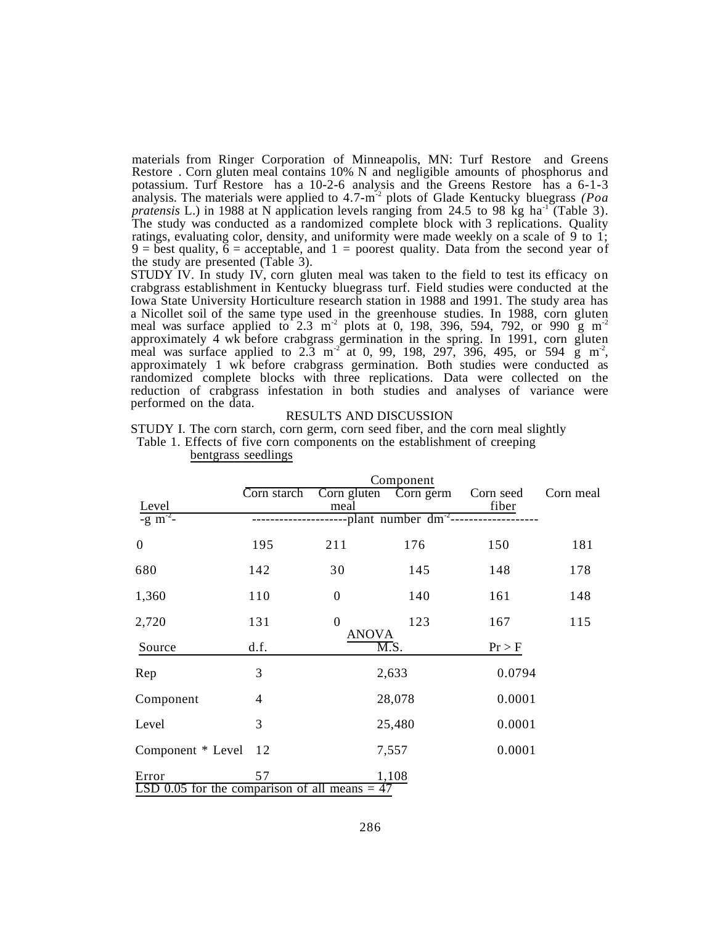materials from Ringer Corporation of Minneapolis, MN: Turf Restore® and Greens Restore<sup>®</sup>. Corn gluten meal contains 10% N and negligible amounts of phosphorus and potassium. Turf Restore<sup>®</sup> has a 10-2-6 analysis and the Greens Restore<sup>®</sup> has a 6-1-3 analysis. The materials were applied to 4.7-m<sup>-2</sup> plots of Glade Kentucky bluegrass *(Poa*) *pratensis* L.) in 1988 at N application levels ranging from 24.5 to 98 kg ha<sup>-1</sup> (Table 3). The study was conducted as a randomized complete block with 3 replications. Quality ratings, evaluating color, density, and uniformity were made weekly on a scale of 9 to 1; 9 = best quality,  $\vec{6}$  = acceptable, and 1 = poorest quality. Data from the second year of the study are presented (Table 3).

STUDY IV. In study IV, corn gluten meal was taken to the field to test its efficacy on crabgrass establishment in Kentucky bluegrass turf. Field studies were conducted at the Iowa State University Horticulture research station in 1988 and 1991. The study area has a Nicollet soil of the same type used in the greenhouse studies. In 1988, corn gluten meal was surface applied to  $2.3 \text{ m}^2$  plots at 0, 198, 396, 594, 792, or 990 g m<sup>-2</sup> approximately 4 wk before crabgrass germination in the spring. In 1991, corn gluten meal was surface applied to  $2.\overline{3}$  m<sup>-2</sup> at 0, 99, 198, 297, 396, 495, or 594 g m<sup>-2</sup>, approximately 1 wk before crabgrass germination. Both studies were conducted as randomized complete blocks with three replications. Data were collected on the reduction of crabgrass infestation in both studies and analyses of variance were performed on the data.

## RESULTS AND DISCUSSION

STUDY I. The corn starch, corn germ, corn seed fiber, and the corn meal slightly Table 1. Effects of five corn components on the establishment of creeping

|                                                 | Component   |                  |                                   |                    |           |  |  |  |
|-------------------------------------------------|-------------|------------------|-----------------------------------|--------------------|-----------|--|--|--|
| Level                                           | Corn starch | meal             | Corn gluten Corn germ             | Corn seed<br>fiber | Corn meal |  |  |  |
| $-g \, \text{m}^{-2}$                           |             |                  | --plant number dm <sup>-2</sup> - |                    |           |  |  |  |
| $\theta$                                        | 195         | 211              | 176                               | 150                | 181       |  |  |  |
| 680                                             | 142         | 30               | 145                               | 148                | 178       |  |  |  |
| 1,360                                           | 110         | $\boldsymbol{0}$ | 140                               | 161                | 148       |  |  |  |
| 2,720                                           | 131         | $\theta$         | 123                               | 167                | 115       |  |  |  |
| Source                                          | d.f.        | <b>ANOVA</b>     | $\overline{\mathrm{M.S.}}$        | Pr > F             |           |  |  |  |
| Rep                                             | 3           |                  | 2,633                             | 0.0794             |           |  |  |  |
| Component                                       | 4           |                  | 28,078                            | 0.0001             |           |  |  |  |
| Level                                           | 3           |                  | 25,480                            | 0.0001             |           |  |  |  |
| Component * Level                               | 12          |                  | 7,557                             | 0.0001             |           |  |  |  |
| Error                                           | 57          |                  | 1,108                             |                    |           |  |  |  |
| LSD 0.05 for the comparison of all means $= 47$ |             |                  |                                   |                    |           |  |  |  |

bentgrass seedlings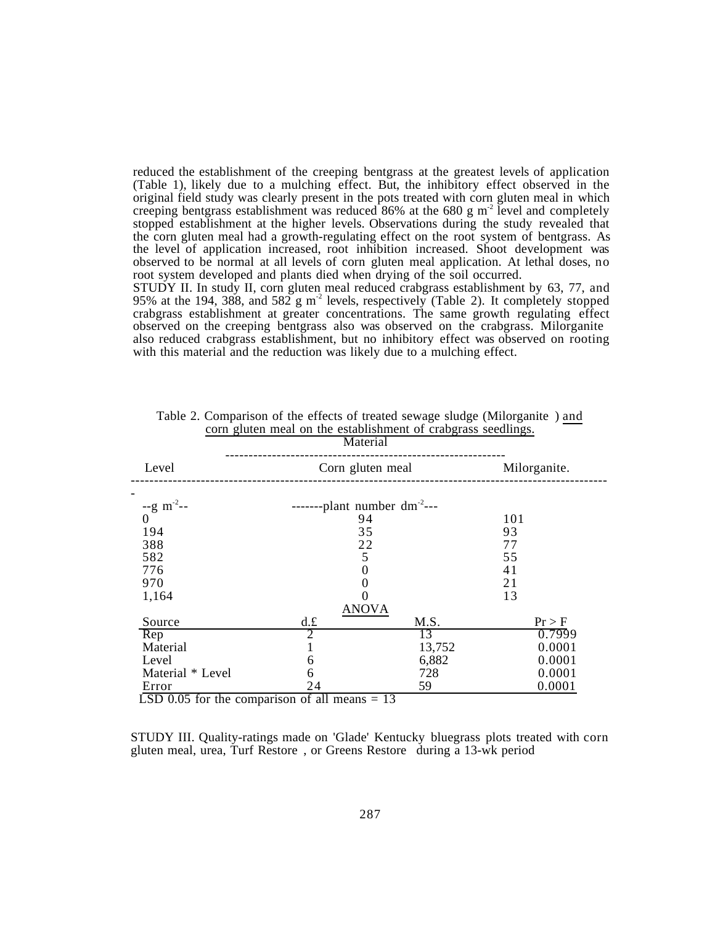reduced the establishment of the creeping bentgrass at the greatest levels of application (Table 1), likely due to a mulching effect. But, the inhibitory effect observed in the original field study was clearly present in the pots treated with corn gluten meal in which creeping bentgrass establishment was reduced 86% at the 680 g  $m<sup>2</sup>$  level and completely stopped establishment at the higher levels. Observations during the study revealed that the corn gluten meal had a growth-regulating effect on the root system of bentgrass. As the level of application increased, root inhibition increased. Shoot development was observed to be normal at all levels of corn gluten meal application. At lethal doses, no root system developed and plants died when drying of the soil occurred.

STUDY II. In study II, corn gluten meal reduced crabgrass establishment by 63, 77, and 95% at the 194, 388, and 582 g m<sup>-2</sup> levels, respectively (Table 2). It completely stopped crabgrass establishment at greater concentrations. The same growth regulating effect observed on the creeping bentgrass also was observed on the crabgrass. Milorganite also reduced crabgrass establishment, but no inhibitory effect was observed on rooting with this material and the reduction was likely due to a mulching effect.

|                                   | Material                          | $\frac{1}{2}$ corrected the construction of crackings becomings. |        |  |  |  |  |  |  |
|-----------------------------------|-----------------------------------|------------------------------------------------------------------|--------|--|--|--|--|--|--|
| Level                             | Corn gluten meal                  | Milorganite.                                                     |        |  |  |  |  |  |  |
| $-$ g m <sup>-2</sup> --          | -------plant number $dm^{-2}$ --- |                                                                  |        |  |  |  |  |  |  |
| $\overline{0}$                    | 94                                |                                                                  | 101    |  |  |  |  |  |  |
| 194                               | 35                                |                                                                  | 93     |  |  |  |  |  |  |
| 388                               | 22                                |                                                                  | 77     |  |  |  |  |  |  |
| 582                               | 5                                 |                                                                  | 55     |  |  |  |  |  |  |
| 776                               | 0                                 |                                                                  | 41     |  |  |  |  |  |  |
| 970                               | 0                                 |                                                                  | 21     |  |  |  |  |  |  |
| 1,164                             |                                   |                                                                  | 13     |  |  |  |  |  |  |
| <b>ANOVA</b>                      |                                   |                                                                  |        |  |  |  |  |  |  |
| Source                            | d.f.                              | M.S.                                                             | Pr > F |  |  |  |  |  |  |
| $\overline{\text{Rep}}$           | 2                                 | 13                                                               | 0.7999 |  |  |  |  |  |  |
| Material                          |                                   | 13,752                                                           | 0.0001 |  |  |  |  |  |  |
| Level                             | 6                                 | 6,882                                                            | 0.0001 |  |  |  |  |  |  |
| Material * Level                  | 6                                 | 728                                                              | 0.0001 |  |  |  |  |  |  |
| Error<br>$\overline{\phantom{a}}$ | 24                                | 59                                                               | 0.0001 |  |  |  |  |  |  |

Table 2. Comparison of the effects of treated sewage sludge (Milorganite®) and corn gluten meal on the establishment of crabgrass seedlings.

LSD 0.05 for the comparison of all means  $= 13$ 

STUDY III. Quality-ratings made on 'Glade' Kentucky bluegrass plots treated with corn gluten meal, urea, Turf Restore , or Greens Restore during a 13-wk period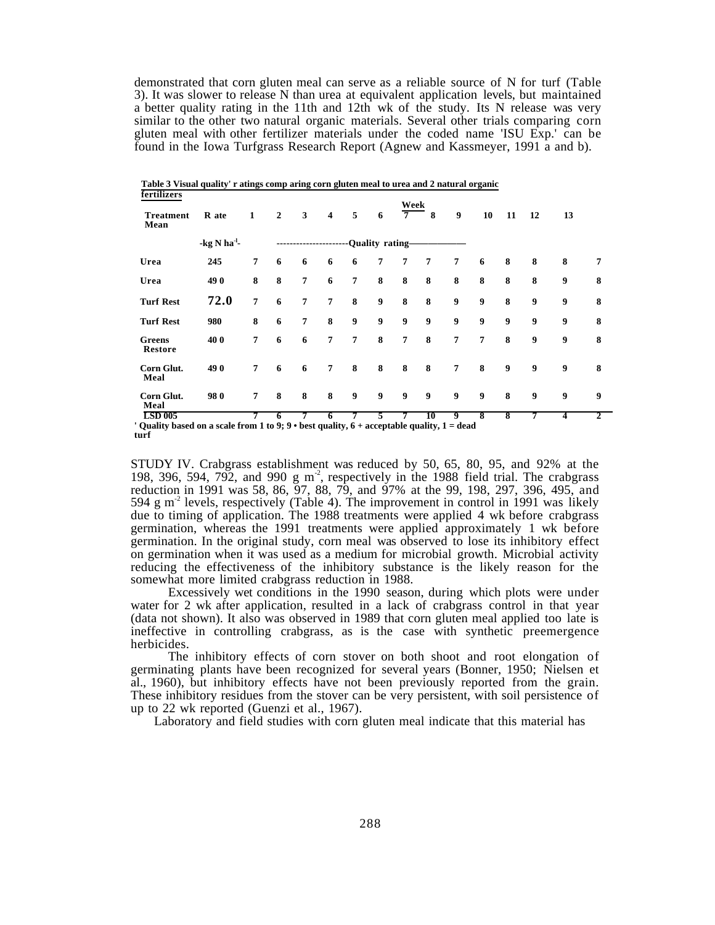demonstrated that corn gluten meal can serve as a reliable source of N for turf (Table 3). It was slower to release N than urea at equivalent application levels, but maintained a better quality rating in the 11th and 12th wk of the study. Its N release was very similar to the other two natural organic materials. Several other trials comparing corn gluten meal with other fertilizer materials under the coded name 'ISU Exp.' can be found in the Iowa Turfgrass Research Report (Agnew and Kassmeyer, 1991 a and b).

| fertilizers<br><b>Treatment</b><br>Mean | R ate                     | $\mathbf{1}$   | $\overline{2}$     | 3                   | $\overline{\mathbf{4}}$ | 5                  | 6 | Week<br>$7^{\circ}$ | 8                   | $\boldsymbol{9}$ | 10               | 11 | 12               | 13               |              |
|-----------------------------------------|---------------------------|----------------|--------------------|---------------------|-------------------------|--------------------|---|---------------------|---------------------|------------------|------------------|----|------------------|------------------|--------------|
|                                         | $-$ kg N ha <sup>-1</sup> |                |                    | ------------------- |                         | ---Quality rating- |   |                     |                     |                  |                  |    |                  |                  |              |
| Urea                                    | 245                       | $\overline{7}$ | 6                  | 6                   | 6                       | 6                  | 7 | 7                   | 7                   | 7                | 6                | 8  | 8                | 8                | 7            |
| Urea                                    | 490                       | 8              | 8                  | $\overline{7}$      | 6                       | $\overline{7}$     | 8 | 8                   | 8                   | 8                | 8                | 8  | 8                | 9                | 8            |
| <b>Turf Rest</b>                        | 72.0                      | $\overline{7}$ | 6                  | $\overline{7}$      | $\overline{7}$          | 8                  | 9 | 8                   | 8                   | 9                | 9                | 8  | $\boldsymbol{9}$ | $\boldsymbol{9}$ | 8            |
| <b>Turf Rest</b>                        | 980                       | 8              | 6                  | 7                   | 8                       | 9                  | 9 | 9                   | 9                   | 9                | $\boldsymbol{9}$ | 9  | $\boldsymbol{9}$ | 9                | 8            |
| Greens<br>Restore                       | 40 0                      | $\overline{7}$ | 6                  | 6                   | $\overline{7}$          | $\overline{7}$     | 8 | $\overline{7}$      | 8                   | $\overline{7}$   | $\overline{7}$   | 8  | 9                | 9                | 8            |
| Corn Glut.<br>Meal                      | 490                       | $\overline{7}$ | 6                  | 6                   | $\overline{7}$          | 8                  | 8 | 8                   | 8                   | $\overline{7}$   | 8                | 9  | $\boldsymbol{9}$ | $\boldsymbol{9}$ | 8            |
| Corn Glut.<br>Meal                      | 980                       | $\overline{7}$ | 8                  | 8                   | 8                       | 9                  | 9 | 9                   | 9                   | 9                | $\boldsymbol{9}$ | 8  | $\boldsymbol{9}$ | $\boldsymbol{9}$ | 9            |
| <b>LSD 005</b><br>$\sim$                |                           |                | 6<br>$\sim$ $\sim$ | 7                   | 6                       | 7                  | 5 | 7                   | 10<br>$\sim$ $\sim$ | 9                | 8                | 8  | 7                | 4                | $\mathbf{2}$ |

**Table 3 Visual quality' r atings comp aring corn gluten meal to urea and 2 natural organic**

**' Quality based on a scale from 1 to 9; 9 • best quality, 6 + acceptable quality, 1 = dead turf**

STUDY IV. Crabgrass establishment was reduced by 50, 65, 80, 95, and 92% at the 198, 396, 594, 792, and 990 g m<sup>2</sup>, respectively in the 1988 field trial. The crabgrass reduction in 1991 was 58, 86, 97, 88, 79, and 97% at the 99, 198, 297, 396, 495, and 594 g  $m<sup>2</sup>$  levels, respectively (Table 4). The improvement in control in 1991 was likely due to timing of application. The 1988 treatments were applied 4 wk before crabgrass germination, whereas the 1991 treatments were applied approximately 1 wk before germination. In the original study, corn meal was observed to lose its inhibitory effect on germination when it was used as a medium for microbial growth. Microbial activity reducing the effectiveness of the inhibitory substance is the likely reason for the somewhat more limited crabgrass reduction in 1988.

Excessively wet conditions in the 1990 season, during which plots were under water for 2 wk after application, resulted in a lack of crabgrass control in that year (data not shown). It also was observed in 1989 that corn gluten meal applied too late is ineffective in controlling crabgrass, as is the case with synthetic preemergence herbicides.

The inhibitory effects of corn stover on both shoot and root elongation of germinating plants have been recognized for several years (Bonner, 1950; Nielsen et al., 1960), but inhibitory effects have not been previously reported from the grain. These inhibitory residues from the stover can be very persistent, with soil persistence of up to 22 wk reported (Guenzi et al., 1967).

Laboratory and field studies with corn gluten meal indicate that this material has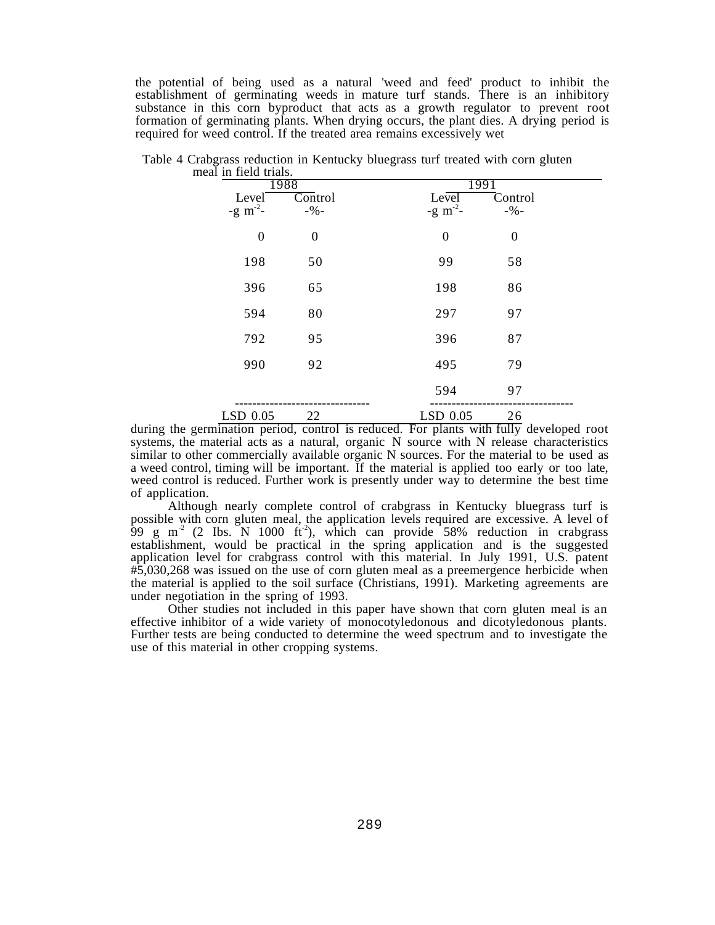the potential of being used as a natural 'weed and feed' product to inhibit the establishment of germinating weeds in mature turf stands. There is an inhibitory substance in this corn byproduct that acts as a growth regulator to prevent root formation of germinating plants. When drying occurs, the plant dies. A drying period is required for weed control. If the treated area remains excessively wet

| mear in neig anas.     |                             |                                |                     |  |
|------------------------|-----------------------------|--------------------------------|---------------------|--|
| Level<br>-g $m^{-2}$ - | 1988<br>Control<br>$-9/0 -$ | 1991<br>Level<br>-g $m^{-2}$ - | Control<br>$-9/0 -$ |  |
| $\boldsymbol{0}$       | $\boldsymbol{0}$            | $\boldsymbol{0}$               | $\boldsymbol{0}$    |  |
| 198                    | 50                          | 99                             | 58                  |  |
| 396                    | 65                          | 198                            | 86                  |  |
| 594                    | 80                          | 297                            | 97                  |  |
| 792                    | 95                          | 396                            | 87                  |  |
| 990                    | 92                          | 495                            | 79                  |  |
|                        |                             | 594                            | 97                  |  |
| LSD 0.05               | 22                          | LSD 0.05                       | 26                  |  |

Table 4 Crabgrass reduction in Kentucky bluegrass turf treated with corn gluten meal in field trials.

during the germination period, control is reduced. For plants with fully developed root systems, the material acts as a natural, organic N source with N release characteristics similar to other commercially available organic N sources. For the material to be used as a weed control, timing will be important. If the material is applied too early or too late, weed control is reduced. Further work is presently under way to determine the best time of application.

Although nearly complete control of crabgrass in Kentucky bluegrass turf is possible with corn gluten meal, the application levels required are excessive. A level of 99 g m<sup>-2</sup> (2 Ibs. N 1000 ft<sup>-2</sup>), which can provide 58% reduction in crabgrass establishment, would be practical in the spring application and is the suggested application level for crabgrass control with this material. In July 1991, U.S. patent #5,030,268 was issued on the use of corn gluten meal as a preemergence herbicide when the material is applied to the soil surface (Christians, 1991). Marketing agreements are under negotiation in the spring of 1993.

Other studies not included in this paper have shown that corn gluten meal is an effective inhibitor of a wide variety of monocotyledonous and dicotyledonous plants. Further tests are being conducted to determine the weed spectrum and to investigate the use of this material in other cropping systems.